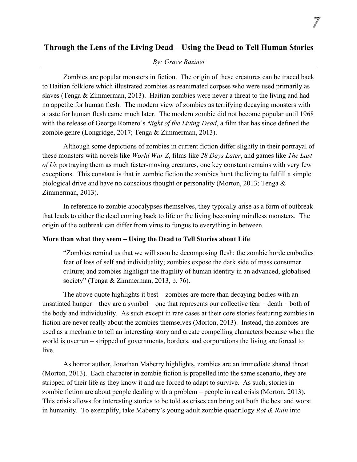# **Through the Lens of the Living Dead – Using the Dead to Tell Human Stories**

## *By: Grace Bazinet*

Zombies are popular monsters in fiction. The origin of these creatures can be traced back to Haitian folklore which illustrated zombies as reanimated corpses who were used primarily as slaves (Tenga & Zimmerman, 2013). Haitian zombies were never a threat to the living and had no appetite for human flesh. The modern view of zombies as terrifying decaying monsters with a taste for human flesh came much later. The modern zombie did not become popular until 1968 with the release of George Romero's *Night of the Living Dead,* a film that has since defined the zombie genre (Longridge, 2017; Tenga & Zimmerman, 2013).

Although some depictions of zombies in current fiction differ slightly in their portrayal of these monsters with novels like *World War Z*, films like *28 Days Later*, and games like *The Last of Us* portraying them as much faster-moving creatures, one key constant remains with very few exceptions. This constant is that in zombie fiction the zombies hunt the living to fulfill a simple biological drive and have no conscious thought or personality (Morton, 2013; Tenga & Zimmerman, 2013).

In reference to zombie apocalypses themselves, they typically arise as a form of outbreak that leads to either the dead coming back to life or the living becoming mindless monsters. The origin of the outbreak can differ from virus to fungus to everything in between.

## **More than what they seem – Using the Dead to Tell Stories about Life**

"Zombies remind us that we will soon be decomposing flesh; the zombie horde embodies fear of loss of self and individuality; zombies expose the dark side of mass consumer culture; and zombies highlight the fragility of human identity in an advanced, globalised society" (Tenga & Zimmerman, 2013, p. 76).

The above quote highlights it best – zombies are more than decaying bodies with an unsatiated hunger – they are a symbol – one that represents our collective fear – death – both of the body and individuality. As such except in rare cases at their core stories featuring zombies in fiction are never really about the zombies themselves (Morton, 2013). Instead, the zombies are used as a mechanic to tell an interesting story and create compelling characters because when the world is overrun – stripped of governments, borders, and corporations the living are forced to live.

As horror author, Jonathan Maberry highlights, zombies are an immediate shared threat (Morton, 2013). Each character in zombie fiction is propelled into the same scenario, they are stripped of their life as they know it and are forced to adapt to survive. As such, stories in zombie fiction are about people dealing with a problem – people in real crisis (Morton, 2013). This crisis allows for interesting stories to be told as crises can bring out both the best and worst in humanity. To exemplify, take Maberry's young adult zombie quadrilogy *Rot & Ruin* into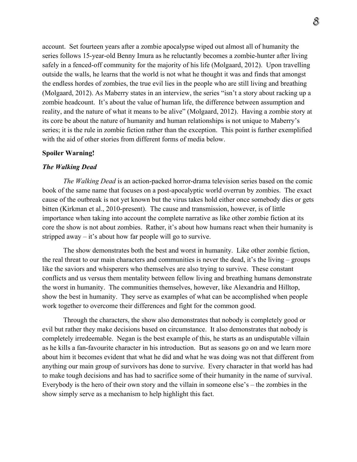account. Set fourteen years after a zombie apocalypse wiped out almost all of humanity the series follows 15-year-old Benny Imura as he reluctantly becomes a zombie-hunter after living safely in a fenced-off community for the majority of his life (Molgaard, 2012). Upon travelling outside the walls, he learns that the world is not what he thought it was and finds that amongst the endless hordes of zombies, the true evil lies in the people who are still living and breathing (Molgaard, 2012). As Maberry states in an interview, the series "isn't a story about racking up a zombie headcount. It's about the value of human life, the difference between assumption and reality, and the nature of what it means to be alive" (Molgaard, 2012). Having a zombie story at its core be about the nature of humanity and human relationships is not unique to Maberry's series; it is the rule in zombie fiction rather than the exception. This point is further exemplified with the aid of other stories from different forms of media below.

#### **Spoiler Warning!**

### *The Walking Dead*

*The Walking Dead* is an action-packed horror-drama television series based on the comic book of the same name that focuses on a post-apocalyptic world overrun by zombies. The exact cause of the outbreak is not yet known but the virus takes hold either once somebody dies or gets bitten (Kirkman et al., 2010-present). The cause and transmission, however, is of little importance when taking into account the complete narrative as like other zombie fiction at its core the show is not about zombies. Rather, it's about how humans react when their humanity is stripped away – it's about how far people will go to survive.

The show demonstrates both the best and worst in humanity. Like other zombie fiction, the real threat to our main characters and communities is never the dead, it's the living – groups like the saviors and whisperers who themselves are also trying to survive. These constant conflicts and us versus them mentality between fellow living and breathing humans demonstrate the worst in humanity. The communities themselves, however, like Alexandria and Hilltop, show the best in humanity. They serve as examples of what can be accomplished when people work together to overcome their differences and fight for the common good.

Through the characters, the show also demonstrates that nobody is completely good or evil but rather they make decisions based on circumstance. It also demonstrates that nobody is completely irredeemable. Negan is the best example of this, he starts as an undisputable villain as he kills a fan-favourite character in his introduction. But as seasons go on and we learn more about him it becomes evident that what he did and what he was doing was not that different from anything our main group of survivors has done to survive. Every character in that world has had to make tough decisions and has had to sacrifice some of their humanity in the name of survival. Everybody is the hero of their own story and the villain in someone else's – the zombies in the show simply serve as a mechanism to help highlight this fact.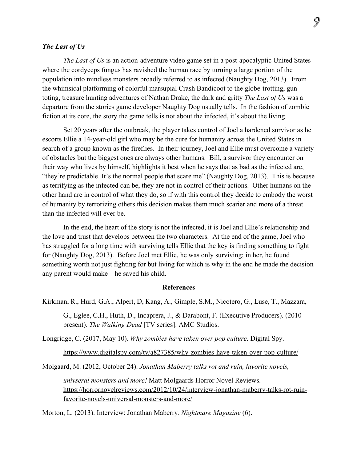## *The Last of Us*

*The Last of Us* is an action-adventure video game set in a post-apocalyptic United States where the cordyceps fungus has ravished the human race by turning a large portion of the population into mindless monsters broadly referred to as infected (Naughty Dog, 2013). From the whimsical platforming of colorful marsupial Crash Bandicoot to the globe-trotting, guntoting, treasure hunting adventures of Nathan Drake, the dark and gritty *The Last of Us* was a departure from the stories game developer Naughty Dog usually tells. In the fashion of zombie fiction at its core, the story the game tells is not about the infected, it's about the living.

Set 20 years after the outbreak, the player takes control of Joel a hardened survivor as he escorts Ellie a 14-year-old girl who may be the cure for humanity across the United States in search of a group known as the fireflies. In their journey, Joel and Ellie must overcome a variety of obstacles but the biggest ones are always other humans. Bill, a survivor they encounter on their way who lives by himself, highlights it best when he says that as bad as the infected are, "they're predictable. It's the normal people that scare me" (Naughty Dog, 2013). This is because as terrifying as the infected can be, they are not in control of their actions. Other humans on the other hand are in control of what they do, so if with this control they decide to embody the worst of humanity by terrorizing others this decision makes them much scarier and more of a threat than the infected will ever be.

In the end, the heart of the story is not the infected, it is Joel and Ellie's relationship and the love and trust that develops between the two characters. At the end of the game, Joel who has struggled for a long time with surviving tells Ellie that the key is finding something to fight for (Naughty Dog, 2013). Before Joel met Ellie, he was only surviving; in her, he found something worth not just fighting for but living for which is why in the end he made the decision any parent would make – he saved his child.

## **References**

Kirkman, R., Hurd, G.A., Alpert, D, Kang, A., Gimple, S.M., Nicotero, G., Luse, T., Mazzara,

G., Eglee, C.H., Huth, D., Incaprera, J., & Darabont, F. (Executive Producers). (2010 present). *The Walking Dead* [TV series]. AMC Studios.

Longridge, C. (2017, May 10). *Why zombies have taken over pop culture.* Digital Spy.

https://www.digitalspy.com/tv/a827385/why-zombies-have-taken-over-pop-culture/

Molgaard, M. (2012, October 24). *Jonathan Maberry talks rot and ruin, favorite novels,* 

*univseral monsters and more!* Matt Molgaards Horror Novel Reviews. https://horrornovelreviews.com/2012/10/24/interview-jonathan-maberry-talks-rot-ruinfavorite-novels-universal-monsters-and-more/

Morton, L. (2013). Interview: Jonathan Maberry. *Nightmare Magazine* (6).